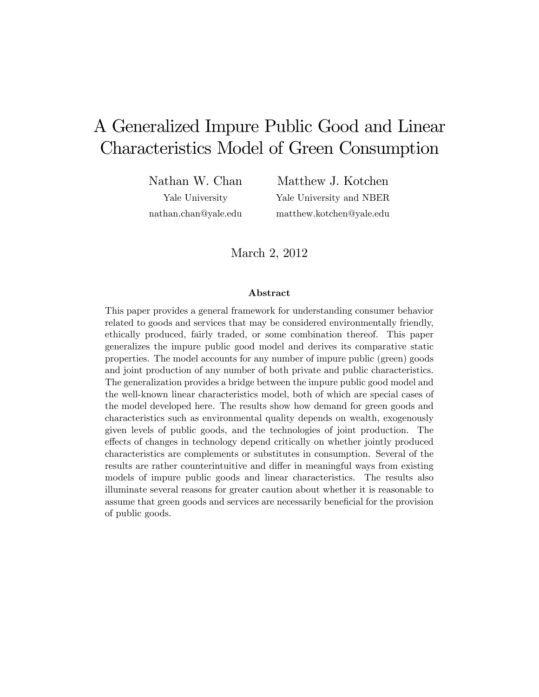# A Generalized Impure Public Good and Linear Characteristics Model of Green Consumption

Nathan W. Chan

Yale University nathan.chan@yale.edu

Matthew J. Kotchen Yale University and NBER matthew.kotchen@yale.edu

#### March 2, 2012

#### Abstract

This paper provides a general framework for understanding consumer behavior related to goods and services that may be considered environmentally friendly, ethically produced, fairly traded, or some combination thereof. This paper generalizes the impure public good model and derives its comparative static properties. The model accounts for any number of impure public (green) goods and joint production of any number of both private and public characteristics. The generalization provides a bridge between the impure public good model and the well-known linear characteristics model, both of which are special cases of the model developed here. The results show how demand for green goods and characteristics such as environmental quality depends on wealth, exogenously given levels of public goods, and the technologies of joint production. The effects of changes in technology depend critically on whether jointly produced characteristics are complements or substitutes in consumption. Several of the results are rather counterintuitive and differ in meaningful ways from existing models of impure public goods and linear characteristics. The results also illuminate several reasons for greater caution about whether it is reasonable to assume that green goods and services are necessarily beneficial for the provision of public goods.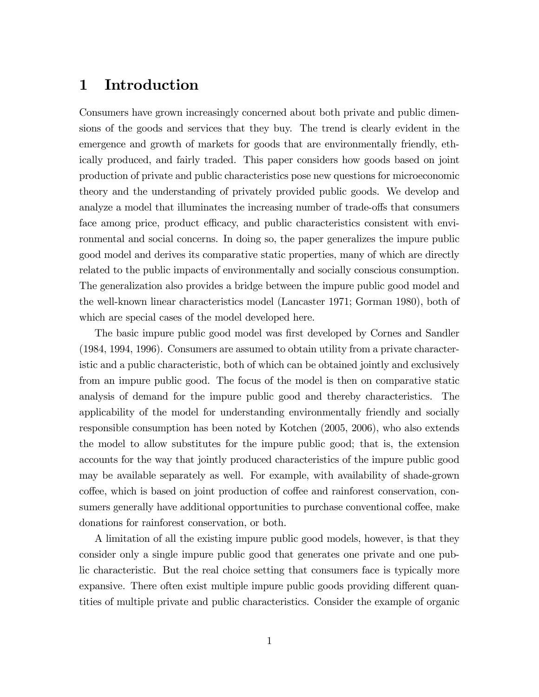# 1 Introduction

Consumers have grown increasingly concerned about both private and public dimensions of the goods and services that they buy. The trend is clearly evident in the emergence and growth of markets for goods that are environmentally friendly, ethically produced, and fairly traded. This paper considers how goods based on joint production of private and public characteristics pose new questions for microeconomic theory and the understanding of privately provided public goods. We develop and analyze a model that illuminates the increasing number of trade-offs that consumers face among price, product efficacy, and public characteristics consistent with environmental and social concerns. In doing so, the paper generalizes the impure public good model and derives its comparative static properties, many of which are directly related to the public impacts of environmentally and socially conscious consumption. The generalization also provides a bridge between the impure public good model and the well-known linear characteristics model (Lancaster 1971; Gorman 1980), both of which are special cases of the model developed here.

The basic impure public good model was first developed by Cornes and Sandler (1984, 1994, 1996). Consumers are assumed to obtain utility from a private characteristic and a public characteristic, both of which can be obtained jointly and exclusively from an impure public good. The focus of the model is then on comparative static analysis of demand for the impure public good and thereby characteristics. The applicability of the model for understanding environmentally friendly and socially responsible consumption has been noted by Kotchen (2005, 2006), who also extends the model to allow substitutes for the impure public good; that is, the extension accounts for the way that jointly produced characteristics of the impure public good may be available separately as well. For example, with availability of shade-grown coffee, which is based on joint production of coffee and rainforest conservation, consumers generally have additional opportunities to purchase conventional coffee, make donations for rainforest conservation, or both.

A limitation of all the existing impure public good models, however, is that they consider only a single impure public good that generates one private and one public characteristic. But the real choice setting that consumers face is typically more expansive. There often exist multiple impure public goods providing different quantities of multiple private and public characteristics. Consider the example of organic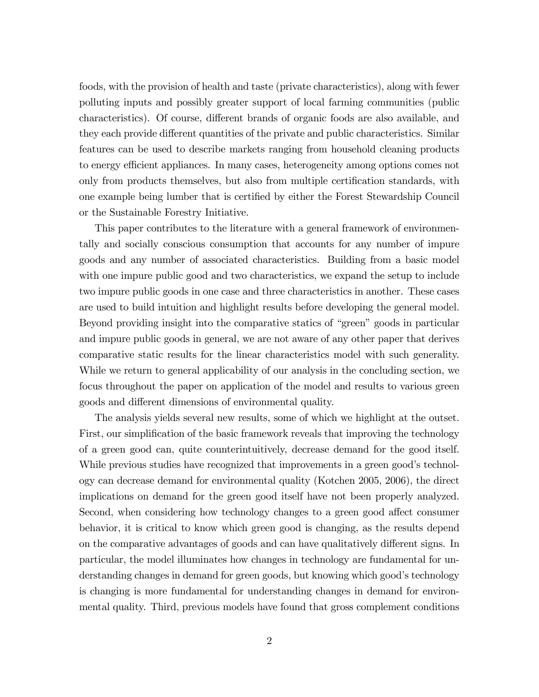foods, with the provision of health and taste (private characteristics), along with fewer polluting inputs and possibly greater support of local farming communities (public characteristics). Of course, different brands of organic foods are also available, and they each provide different quantities of the private and public characteristics. Similar features can be used to describe markets ranging from household cleaning products to energy efficient appliances. In many cases, heterogeneity among options comes not only from products themselves, but also from multiple certification standards, with one example being lumber that is certified by either the Forest Stewardship Council or the Sustainable Forestry Initiative.

This paper contributes to the literature with a general framework of environmentally and socially conscious consumption that accounts for any number of impure goods and any number of associated characteristics. Building from a basic model with one impure public good and two characteristics, we expand the setup to include two impure public goods in one case and three characteristics in another. These cases are used to build intuition and highlight results before developing the general model. Beyond providing insight into the comparative statics of "green" goods in particular and impure public goods in general, we are not aware of any other paper that derives comparative static results for the linear characteristics model with such generality. While we return to general applicability of our analysis in the concluding section, we focus throughout the paper on application of the model and results to various green goods and different dimensions of environmental quality.

The analysis yields several new results, some of which we highlight at the outset. First, our simplification of the basic framework reveals that improving the technology of a green good can, quite counterintuitively, decrease demand for the good itself. While previous studies have recognized that improvements in a green good's technology can decrease demand for environmental quality (Kotchen 2005, 2006), the direct implications on demand for the green good itself have not been properly analyzed. Second, when considering how technology changes to a green good affect consumer behavior, it is critical to know which green good is changing, as the results depend on the comparative advantages of goods and can have qualitatively different signs. In particular, the model illuminates how changes in technology are fundamental for understanding changes in demand for green goods, but knowing which good's technology is changing is more fundamental for understanding changes in demand for environmental quality. Third, previous models have found that gross complement conditions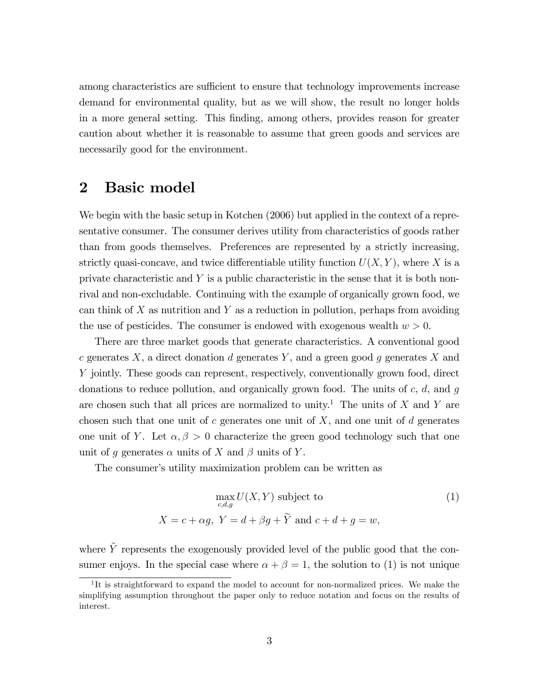among characteristics are sufficient to ensure that technology improvements increase demand for environmental quality, but as we will show, the result no longer holds in a more general setting. This Önding, among others, provides reason for greater caution about whether it is reasonable to assume that green goods and services are necessarily good for the environment.

### 2 Basic model

We begin with the basic setup in Kotchen (2006) but applied in the context of a representative consumer. The consumer derives utility from characteristics of goods rather than from goods themselves. Preferences are represented by a strictly increasing, strictly quasi-concave, and twice differentiable utility function  $U(X,Y)$ , where X is a private characteristic and  $Y$  is a public characteristic in the sense that it is both nonrival and non-excludable. Continuing with the example of organically grown food, we can think of  $X$  as nutrition and  $Y$  as a reduction in pollution, perhaps from avoiding the use of pesticides. The consumer is endowed with exogenous wealth  $w > 0$ .

There are three market goods that generate characteristics. A conventional good c generates  $X$ , a direct donation d generates  $Y$ , and a green good g generates  $X$  and Y jointly. These goods can represent, respectively, conventionally grown food, direct donations to reduce pollution, and organically grown food. The units of  $c, d$ , and  $g$ are chosen such that all prices are normalized to unity.<sup>1</sup> The units of X and Y are chosen such that one unit of  $c$  generates one unit of  $X$ , and one unit of  $d$  generates one unit of Y. Let  $\alpha, \beta > 0$  characterize the green good technology such that one unit of g generates  $\alpha$  units of X and  $\beta$  units of Y.

The consumer's utility maximization problem can be written as

$$
\max_{c,d,g} U(X,Y) \text{ subject to}
$$
  

$$
X = c + \alpha g, \ Y = d + \beta g + \widetilde{Y} \text{ and } c + d + g = w,
$$
 (1)

where  $\tilde{Y}$  represents the exogenously provided level of the public good that the consumer enjoys. In the special case where  $\alpha + \beta = 1$ , the solution to (1) is not unique

<sup>&</sup>lt;sup>1</sup>It is straightforward to expand the model to account for non-normalized prices. We make the simplifying assumption throughout the paper only to reduce notation and focus on the results of interest.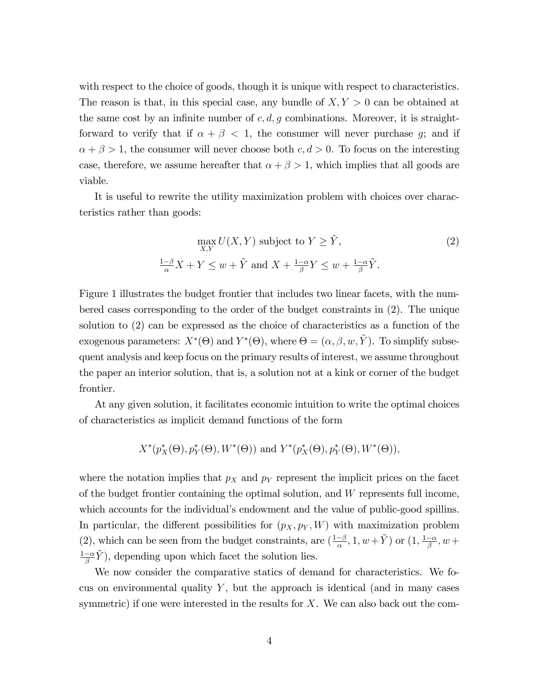with respect to the choice of goods, though it is unique with respect to characteristics. The reason is that, in this special case, any bundle of  $X, Y > 0$  can be obtained at the same cost by an infinite number of  $c, d, g$  combinations. Moreover, it is straightforward to verify that if  $\alpha + \beta < 1$ , the consumer will never purchase g; and if  $\alpha + \beta > 1$ , the consumer will never choose both  $c, d > 0$ . To focus on the interesting case, therefore, we assume hereafter that  $\alpha + \beta > 1$ , which implies that all goods are viable.

It is useful to rewrite the utility maximization problem with choices over characteristics rather than goods:

$$
\max_{X,Y} U(X,Y) \text{ subject to } Y \ge \tilde{Y},
$$
\n
$$
\frac{1-\beta}{\alpha}X + Y \le w + \tilde{Y} \text{ and } X + \frac{1-\alpha}{\beta}Y \le w + \frac{1-\alpha}{\beta}\tilde{Y}.
$$
\n(2)

Figure 1 illustrates the budget frontier that includes two linear facets, with the numbered cases corresponding to the order of the budget constraints in (2). The unique solution to (2) can be expressed as the choice of characteristics as a function of the exogenous parameters:  $X^*(\Theta)$  and  $Y^*(\Theta)$ , where  $\Theta = (\alpha, \beta, w, \tilde{Y})$ . To simplify subsequent analysis and keep focus on the primary results of interest, we assume throughout the paper an interior solution, that is, a solution not at a kink or corner of the budget frontier.

At any given solution, it facilitates economic intuition to write the optimal choices of characteristics as implicit demand functions of the form

$$
X^*(p_X^*(\Theta), p_Y^*(\Theta), W^*(\Theta))
$$
 and  $Y^*(p_X^*(\Theta), p_Y^*(\Theta), W^*(\Theta)),$ 

where the notation implies that  $p_X$  and  $p_Y$  represent the implicit prices on the facet of the budget frontier containing the optimal solution, and W represents full income, which accounts for the individual's endowment and the value of public-good spillins. In particular, the different possibilities for  $(p_X, p_Y, W)$  with maximization problem (2), which can be seen from the budget constraints, are  $(\frac{1-\beta}{\alpha}, 1, w + \tilde{Y})$  or  $(1, \frac{1-\alpha}{\beta}, w + \tilde{Y})$  $\frac{1-\alpha}{\beta}\tilde{Y}$ , depending upon which facet the solution lies.

We now consider the comparative statics of demand for characteristics. We focus on environmental quality  $Y$ , but the approach is identical (and in many cases symmetric) if one were interested in the results for  $X$ . We can also back out the com-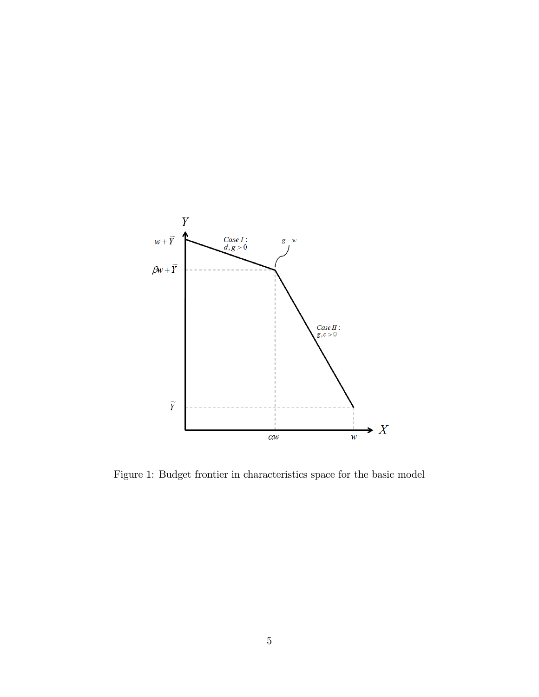

Figure 1: Budget frontier in characteristics space for the basic model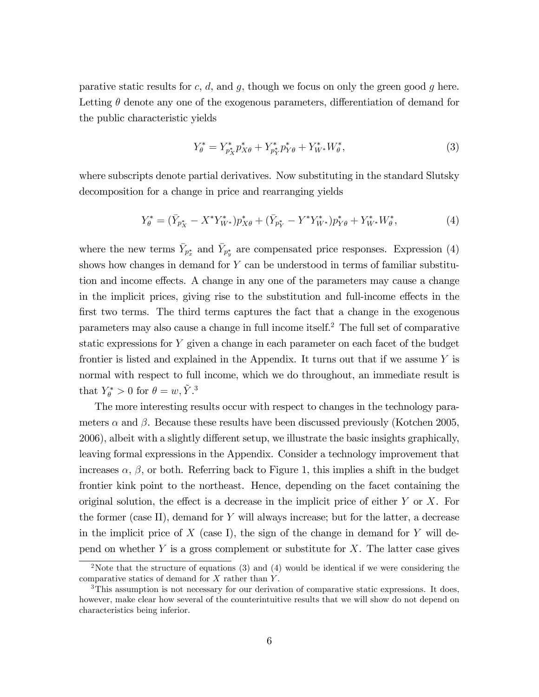parative static results for  $c, d$ , and  $g$ , though we focus on only the green good  $g$  here. Letting  $\theta$  denote any one of the exogenous parameters, differentiation of demand for the public characteristic yields

$$
Y_{\theta}^* = Y_{p_X^*}^* p_{X\theta}^* + Y_{p_Y^*}^* p_{Y\theta}^* + Y_{W^*}^* W_{\theta}^*,
$$
\n(3)

where subscripts denote partial derivatives. Now substituting in the standard Slutsky decomposition for a change in price and rearranging yields

$$
Y_{\theta}^* = (\bar{Y}_{p_X^*} - X^* Y_{W^*}^*) p_{X\theta}^* + (\bar{Y}_{p_Y^*} - Y^* Y_{W^*}^*) p_{Y\theta}^* + Y_{W^*}^* W_{\theta}^*,
$$
\n(4)

where the new terms  $\bar{Y}_{p_x^*}$  and  $\bar{Y}_{p_y^*}$  are compensated price responses. Expression (4) shows how changes in demand for Y can be understood in terms of familiar substitution and income effects. A change in any one of the parameters may cause a change in the implicit prices, giving rise to the substitution and full-income effects in the first two terms. The third terms captures the fact that a change in the exogenous parameters may also cause a change in full income itself.<sup>2</sup> The full set of comparative static expressions for Y given a change in each parameter on each facet of the budget frontier is listed and explained in the Appendix. It turns out that if we assume Y is normal with respect to full income, which we do throughout, an immediate result is that  $Y_{\theta}^* > 0$  for  $\theta = w, \tilde{Y}.^3$ 

The more interesting results occur with respect to changes in the technology parameters  $\alpha$  and  $\beta$ . Because these results have been discussed previously (Kotchen 2005, 2006), albeit with a slightly different setup, we illustrate the basic insights graphically, leaving formal expressions in the Appendix. Consider a technology improvement that increases  $\alpha$ ,  $\beta$ , or both. Referring back to Figure 1, this implies a shift in the budget frontier kink point to the northeast. Hence, depending on the facet containing the original solution, the effect is a decrease in the implicit price of either  $Y$  or  $X$ . For the former (case II), demand for Y will always increase; but for the latter, a decrease in the implicit price of  $X$  (case I), the sign of the change in demand for  $Y$  will depend on whether  $Y$  is a gross complement or substitute for  $X$ . The latter case gives

<sup>2</sup>Note that the structure of equations (3) and (4) would be identical if we were considering the comparative statics of demand for  $X$  rather than  $Y$ .

<sup>&</sup>lt;sup>3</sup>This assumption is not necessary for our derivation of comparative static expressions. It does, however, make clear how several of the counterintuitive results that we will show do not depend on characteristics being inferior.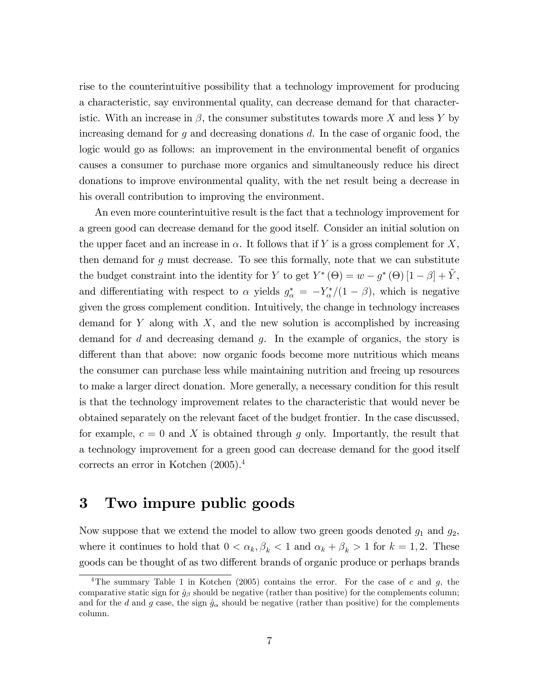rise to the counterintuitive possibility that a technology improvement for producing a characteristic, say environmental quality, can decrease demand for that characteristic. With an increase in  $\beta$ , the consumer substitutes towards more X and less Y by increasing demand for  $q$  and decreasing donations  $d$ . In the case of organic food, the logic would go as follows: an improvement in the environmental benefit of organics causes a consumer to purchase more organics and simultaneously reduce his direct donations to improve environmental quality, with the net result being a decrease in his overall contribution to improving the environment.

An even more counterintuitive result is the fact that a technology improvement for a green good can decrease demand for the good itself. Consider an initial solution on the upper facet and an increase in  $\alpha$ . It follows that if Y is a gross complement for X, then demand for  $g$  must decrease. To see this formally, note that we can substitute the budget constraint into the identity for Y to get  $Y^* (\Theta) = w - g^* (\Theta) [1 - \beta] + \tilde{Y}$ , and differentiating with respect to  $\alpha$  yields  $g_{\alpha}^* = -Y_{\alpha}^*/(1-\beta)$ , which is negative given the gross complement condition. Intuitively, the change in technology increases demand for Y along with  $X$ , and the new solution is accomplished by increasing demand for  $d$  and decreasing demand  $q$ . In the example of organics, the story is different than that above: now organic foods become more nutritious which means the consumer can purchase less while maintaining nutrition and freeing up resources to make a larger direct donation. More generally, a necessary condition for this result is that the technology improvement relates to the characteristic that would never be obtained separately on the relevant facet of the budget frontier. In the case discussed, for example,  $c = 0$  and X is obtained through g only. Importantly, the result that a technology improvement for a green good can decrease demand for the good itself corrects an error in Kotchen (2005).<sup>4</sup>

### 3 Two impure public goods

Now suppose that we extend the model to allow two green goods denoted  $g_1$  and  $g_2$ , where it continues to hold that  $0 < \alpha_k, \beta_k < 1$  and  $\alpha_k + \beta_k > 1$  for  $k = 1, 2$ . These goods can be thought of as two different brands of organic produce or perhaps brands

<sup>&</sup>lt;sup>4</sup>The summary Table 1 in Kotchen (2005) contains the error. For the case of c and q, the comparative static sign for  $\hat{g}_\beta$  should be negative (rather than positive) for the complements column; and for the d and g case, the sign  $\hat{g}_\alpha$  should be negative (rather than positive) for the complements column.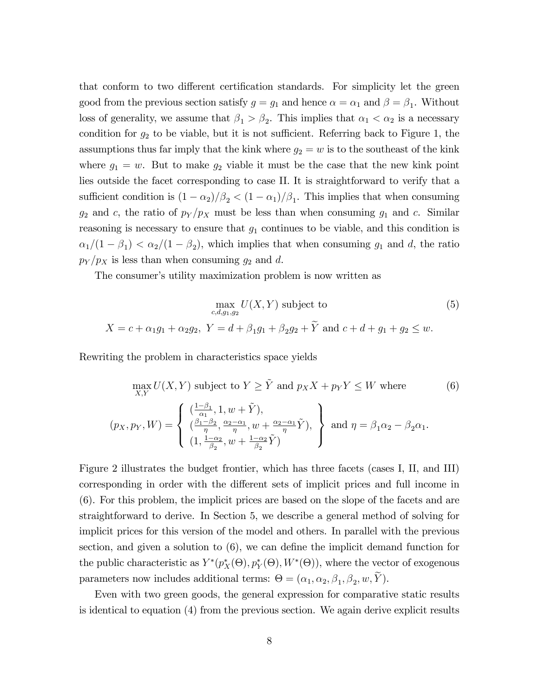that conform to two different certification standards. For simplicity let the green good from the previous section satisfy  $g = g_1$  and hence  $\alpha = \alpha_1$  and  $\beta = \beta_1$ . Without loss of generality, we assume that  $\beta_1 > \beta_2$ . This implies that  $\alpha_1 < \alpha_2$  is a necessary condition for  $g_2$  to be viable, but it is not sufficient. Referring back to Figure 1, the assumptions thus far imply that the kink where  $g_2 = w$  is to the southeast of the kink where  $g_1 = w$ . But to make  $g_2$  viable it must be the case that the new kink point lies outside the facet corresponding to case II. It is straightforward to verify that a sufficient condition is  $(1 - \alpha_2)/\beta_2 < (1 - \alpha_1)/\beta_1$ . This implies that when consuming  $g_2$  and c, the ratio of  $p_Y/p_X$  must be less than when consuming  $g_1$  and c. Similar reasoning is necessary to ensure that  $g_1$  continues to be viable, and this condition is  $\alpha_1/(1-\beta_1) < \alpha_2/(1-\beta_2)$ , which implies that when consuming  $g_1$  and d, the ratio  $p_Y / p_X$  is less than when consuming  $g_2$  and d.

The consumer's utility maximization problem is now written as

$$
\max_{c,d,g_1,g_2} U(X,Y) \text{ subject to}
$$
\n
$$
X = c + \alpha_1 g_1 + \alpha_2 g_2, \ Y = d + \beta_1 g_1 + \beta_2 g_2 + \tilde{Y} \text{ and } c + d + g_1 + g_2 \le w.
$$
\n
$$
(5)
$$

Rewriting the problem in characteristics space yields

$$
\max_{X,Y} U(X,Y) \text{ subject to } Y \ge \tilde{Y} \text{ and } p_X X + p_Y Y \le W \text{ where } \tag{6}
$$

$$
(p_X, p_Y, W) = \begin{cases} \left(\frac{1-\beta_1}{\alpha_1}, 1, w + \tilde{Y}\right),\\ \left(\frac{\beta_1-\beta_2}{\eta}, \frac{\alpha_2-\alpha_1}{\eta}, w + \frac{\alpha_2-\alpha_1}{\eta} \tilde{Y}\right),\\ \left(1, \frac{1-\alpha_2}{\beta_2}, w + \frac{1-\alpha_2}{\beta_2} \tilde{Y}\right) \end{cases} \text{ and } \eta = \beta_1 \alpha_2 - \beta_2 \alpha_1.
$$

Figure 2 illustrates the budget frontier, which has three facets (cases I, II, and III) corresponding in order with the different sets of implicit prices and full income in (6). For this problem, the implicit prices are based on the slope of the facets and are straightforward to derive. In Section 5, we describe a general method of solving for implicit prices for this version of the model and others. In parallel with the previous section, and given a solution to  $(6)$ , we can define the implicit demand function for the public characteristic as  $Y^*(p_X^*(\Theta), p_Y^*(\Theta), W^*(\Theta))$ , where the vector of exogenous parameters now includes additional terms:  $\Theta = (\alpha_1, \alpha_2, \beta_1, \beta_2, w, Y)$ .

Even with two green goods, the general expression for comparative static results is identical to equation (4) from the previous section. We again derive explicit results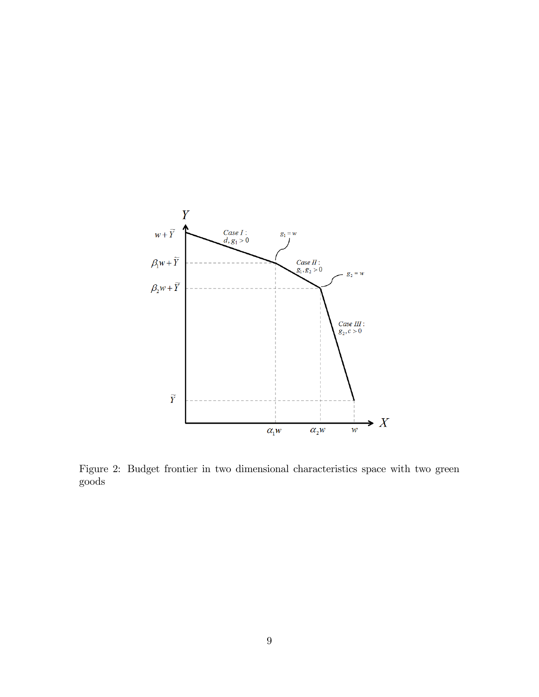

Figure 2: Budget frontier in two dimensional characteristics space with two green goods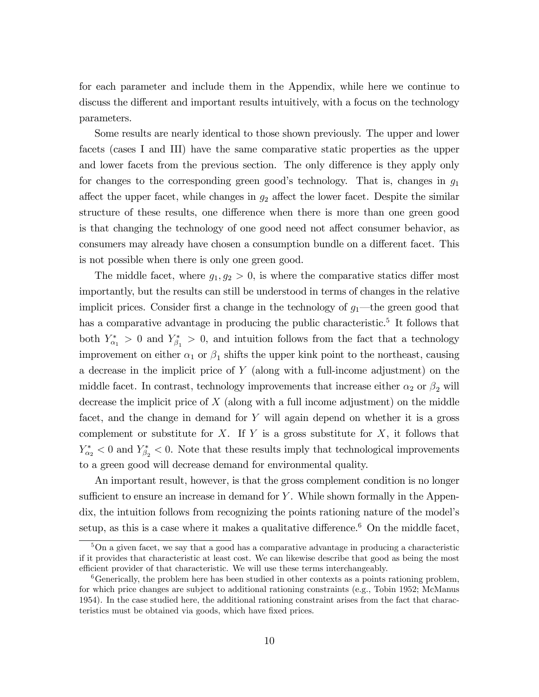for each parameter and include them in the Appendix, while here we continue to discuss the different and important results intuitively, with a focus on the technology parameters.

Some results are nearly identical to those shown previously. The upper and lower facets (cases I and III) have the same comparative static properties as the upper and lower facets from the previous section. The only difference is they apply only for changes to the corresponding green good's technology. That is, changes in  $g_1$ affect the upper facet, while changes in  $g_2$  affect the lower facet. Despite the similar structure of these results, one difference when there is more than one green good is that changing the technology of one good need not affect consumer behavior, as consumers may already have chosen a consumption bundle on a different facet. This is not possible when there is only one green good.

The middle facet, where  $g_1, g_2 > 0$ , is where the comparative statics differ most importantly, but the results can still be understood in terms of changes in the relative implicit prices. Consider first a change in the technology of  $g_1$ —the green good that has a comparative advantage in producing the public characteristic.<sup>5</sup> It follows that both  $Y_{\alpha_1}^* > 0$  and  $Y_{\beta_1}^* > 0$ , and intuition follows from the fact that a technology improvement on either  $\alpha_1$  or  $\beta_1$  shifts the upper kink point to the northeast, causing a decrease in the implicit price of Y (along with a full-income adjustment) on the middle facet. In contrast, technology improvements that increase either  $\alpha_2$  or  $\beta_2$  will decrease the implicit price of  $X$  (along with a full income adjustment) on the middle facet, and the change in demand for Y will again depend on whether it is a gross complement or substitute for X. If Y is a gross substitute for  $X$ , it follows that  $Y_{\alpha_2}^*$  < 0 and  $Y_{\beta_2}^*$  < 0. Note that these results imply that technological improvements to a green good will decrease demand for environmental quality.

An important result, however, is that the gross complement condition is no longer sufficient to ensure an increase in demand for  $Y$ . While shown formally in the Appendix, the intuition follows from recognizing the points rationing nature of the model's setup, as this is a case where it makes a qualitative difference.<sup>6</sup> On the middle facet,

 $5\text{On a given facet, we say that a good has a comparative advantage in producing a characteristic.}$ if it provides that characteristic at least cost. We can likewise describe that good as being the most efficient provider of that characteristic. We will use these terms interchangeably.

<sup>&</sup>lt;sup>6</sup>Generically, the problem here has been studied in other contexts as a points rationing problem, for which price changes are subject to additional rationing constraints (e.g., Tobin 1952; McManus 1954). In the case studied here, the additional rationing constraint arises from the fact that characteristics must be obtained via goods, which have fixed prices.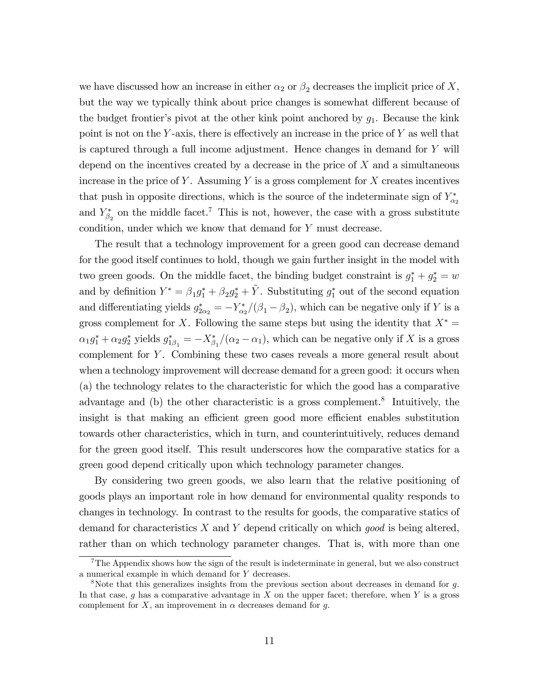we have discussed how an increase in either  $\alpha_2$  or  $\beta_2$  decreases the implicit price of X, but the way we typically think about price changes is somewhat different because of the budget frontier's pivot at the other kink point anchored by  $g_1$ . Because the kink point is not on the Y-axis, there is effectively an increase in the price of Y as well that is captured through a full income adjustment. Hence changes in demand for Y will depend on the incentives created by a decrease in the price of  $X$  and a simultaneous increase in the price of Y. Assuming Y is a gross complement for X creates incentives that push in opposite directions, which is the source of the indeterminate sign of  $Y_{\alpha_2}^*$ and  $Y_{\beta_2}^*$  on the middle facet.<sup>7</sup> This is not, however, the case with a gross substitute condition, under which we know that demand for Y must decrease.

The result that a technology improvement for a green good can decrease demand for the good itself continues to hold, though we gain further insight in the model with two green goods. On the middle facet, the binding budget constraint is  $g_1^* + g_2^* = w$ and by definition  $Y^* = \beta_1 g_1^* + \beta_2 g_2^* + \tilde{Y}$ . Substituting  $g_1^*$  out of the second equation and differentiating yields  $g_{2\alpha_2}^* = -Y_{\alpha_2}^*/(\beta_1 - \beta_2)$ , which can be negative only if Y is a gross complement for X. Following the same steps but using the identity that  $X^* =$  $\alpha_1 g_1^* + \alpha_2 g_2^*$  yields  $g_{1\beta_1}^* = -X_{\beta_1}^*/(\alpha_2 - \alpha_1)$ , which can be negative only if X is a gross complement for Y. Combining these two cases reveals a more general result about when a technology improvement will decrease demand for a green good: it occurs when (a) the technology relates to the characteristic for which the good has a comparative advantage and (b) the other characteristic is a gross complement.<sup>8</sup> Intuitively, the insight is that making an efficient green good more efficient enables substitution towards other characteristics, which in turn, and counterintuitively, reduces demand for the green good itself. This result underscores how the comparative statics for a green good depend critically upon which technology parameter changes.

By considering two green goods, we also learn that the relative positioning of goods plays an important role in how demand for environmental quality responds to changes in technology. In contrast to the results for goods, the comparative statics of demand for characteristics  $X$  and  $Y$  depend critically on which good is being altered, rather than on which technology parameter changes. That is, with more than one

<sup>&</sup>lt;sup>7</sup>The Appendix shows how the sign of the result is indeterminate in general, but we also construct a numerical example in which demand for Y decreases.

 $8$ Note that this generalizes insights from the previous section about decreases in demand for g. In that case,  $g$  has a comparative advantage in  $X$  on the upper facet; therefore, when  $Y$  is a gross complement for X, an improvement in  $\alpha$  decreases demand for g.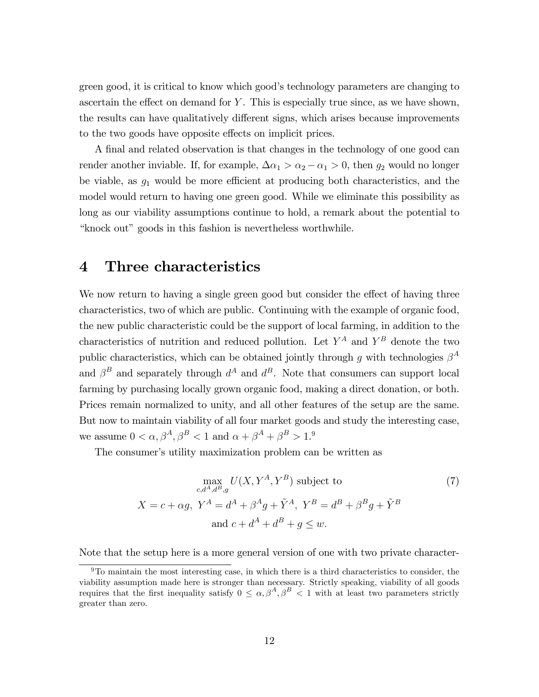green good, it is critical to know which good's technology parameters are changing to ascertain the effect on demand for  $Y$ . This is especially true since, as we have shown, the results can have qualitatively different signs, which arises because improvements to the two goods have opposite effects on implicit prices.

A final and related observation is that changes in the technology of one good can render another inviable. If, for example,  $\Delta \alpha_1 > \alpha_2 - \alpha_1 > 0$ , then  $g_2$  would no longer be viable, as  $g_1$  would be more efficient at producing both characteristics, and the model would return to having one green good. While we eliminate this possibility as long as our viability assumptions continue to hold, a remark about the potential to "knock out" goods in this fashion is nevertheless worthwhile.

### 4 Three characteristics

We now return to having a single green good but consider the effect of having three characteristics, two of which are public. Continuing with the example of organic food, the new public characteristic could be the support of local farming, in addition to the characteristics of nutrition and reduced pollution. Let  $Y^A$  and  $Y^B$  denote the two public characteristics, which can be obtained jointly through g with technologies  $\beta^A$ and  $\beta^B$  and separately through  $d^A$  and  $d^B$ . Note that consumers can support local farming by purchasing locally grown organic food, making a direct donation, or both. Prices remain normalized to unity, and all other features of the setup are the same. But now to maintain viability of all four market goods and study the interesting case, we assume  $0 < \alpha, \beta^A, \beta^B < 1$  and  $\alpha + \beta^A + \beta^B > 1$ .<sup>9</sup>

The consumer's utility maximization problem can be written as

$$
\max_{c,d^A,d^B,g} U(X, Y^A, Y^B) \text{ subject to}
$$
\n
$$
X = c + \alpha g, \ Y^A = d^A + \beta^A g + \tilde{Y}^A, \ Y^B = d^B + \beta^B g + \tilde{Y}^B
$$
\n
$$
\text{and } c + d^A + d^B + g \le w.
$$
\n(7)

Note that the setup here is a more general version of one with two private character-

 $9^9$ To maintain the most interesting case, in which there is a third characteristics to consider, the viability assumption made here is stronger than necessary. Strictly speaking, viability of all goods requires that the first inequality satisfy  $0 \leq \alpha, \beta^A, \beta^B, 1 \leq 1$  with at least two parameters strictly greater than zero.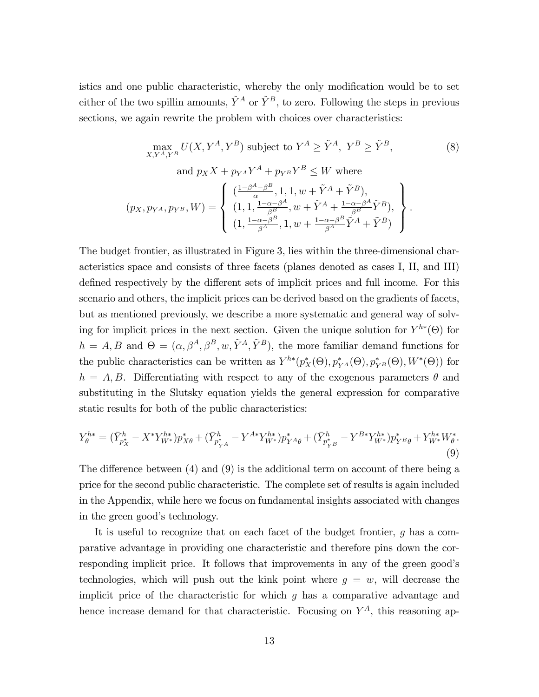istics and one public characteristic, whereby the only modification would be to set either of the two spillin amounts,  $\tilde{Y}^{A}$  or  $\tilde{Y}^{B}$ , to zero. Following the steps in previous sections, we again rewrite the problem with choices over characteristics:

$$
\max_{X,Y^A,Y^B} U(X,Y^A,Y^B) \text{ subject to } Y^A \ge \tilde{Y}^A, Y^B \ge \tilde{Y}^B,
$$
\n
$$
\text{and } p_X X + p_{Y^A} Y^A + p_{Y^B} Y^B \le W \text{ where}
$$
\n
$$
(p_X, p_{Y^A}, p_{Y^B}, W) = \begin{cases} \left(\frac{1-\beta^A-\beta^B}{\alpha}, 1, 1, w + \tilde{Y}^A + \tilde{Y}^B\right),\\ \left(1, 1, \frac{1-\alpha-\beta^A}{\beta^B}, w + \tilde{Y}^A + \frac{1-\alpha-\beta^A}{\beta^B} \tilde{Y}^B\right),\\ \left(1, \frac{1-\alpha-\beta^B}{\beta^A}, 1, w + \frac{1-\alpha-\beta^B}{\beta^A} \tilde{Y}^A + \tilde{Y}^B\right) \end{cases}.
$$
\n
$$
(8)
$$

The budget frontier, as illustrated in Figure 3, lies within the three-dimensional characteristics space and consists of three facets (planes denoted as cases I, II, and III) defined respectively by the different sets of implicit prices and full income. For this scenario and others, the implicit prices can be derived based on the gradients of facets, but as mentioned previously, we describe a more systematic and general way of solving for implicit prices in the next section. Given the unique solution for  $Y^{h*}(\Theta)$  for  $h = A, B$  and  $\Theta = (\alpha, \beta^A, \beta^B, w, \tilde{Y}^A, \tilde{Y}^B)$ , the more familiar demand functions for the public characteristics can be written as  $Y^{h*}(p_X^*(\Theta), p_{Y^A}^*(\Theta), p_{Y^B}^*(\Theta), W^*(\Theta))$  for  $h = A, B$ . Differentiating with respect to any of the exogenous parameters  $\theta$  and substituting in the Slutsky equation yields the general expression for comparative static results for both of the public characteristics:

$$
Y_{\theta}^{h*} = (\bar{Y}_{p_X^*}^h - X^* Y_{W^*}^{h*}) p_{X\theta}^* + (\bar{Y}_{p_{Y\theta}^*}^h - Y^{A*} Y_{W^*}^{h*}) p_{Y^A\theta}^* + (\bar{Y}_{p_{Y\theta}^*}^h - Y^{B*} Y_{W^*}^{h*}) p_{Y^B\theta}^* + Y_{W^*}^{h*} W_{\theta}^*.
$$
\n(9)

The difference between  $(4)$  and  $(9)$  is the additional term on account of there being a price for the second public characteristic. The complete set of results is again included in the Appendix, while here we focus on fundamental insights associated with changes in the green good's technology.

It is useful to recognize that on each facet of the budget frontier, g has a comparative advantage in providing one characteristic and therefore pins down the corresponding implicit price. It follows that improvements in any of the green good's technologies, which will push out the kink point where  $g = w$ , will decrease the implicit price of the characteristic for which  $g$  has a comparative advantage and hence increase demand for that characteristic. Focusing on  $Y^A$ , this reasoning ap-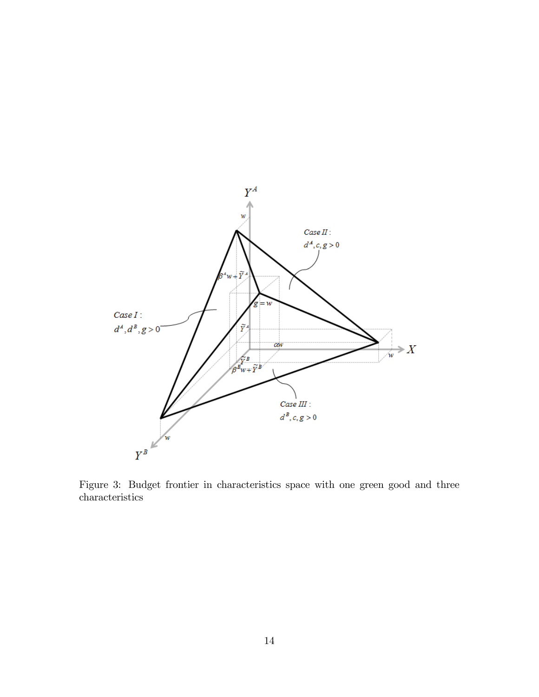

Figure 3: Budget frontier in characteristics space with one green good and three characteristics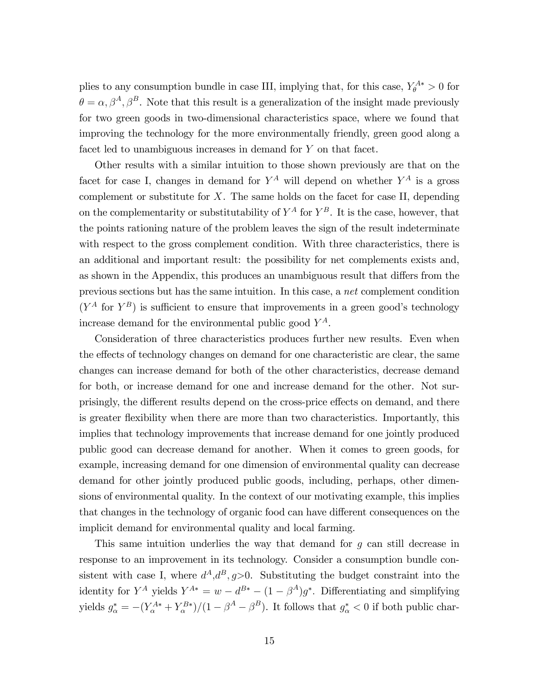plies to any consumption bundle in case III, implying that, for this case,  $Y_{\theta}^{A*} > 0$  for  $\theta = \alpha, \beta^A, \beta^B$ . Note that this result is a generalization of the insight made previously for two green goods in two-dimensional characteristics space, where we found that improving the technology for the more environmentally friendly, green good along a facet led to unambiguous increases in demand for Y on that facet.

Other results with a similar intuition to those shown previously are that on the facet for case I, changes in demand for  $Y^A$  will depend on whether  $Y^A$  is a gross complement or substitute for  $X$ . The same holds on the facet for case II, depending on the complementarity or substitutability of  $Y^A$  for  $Y^B$ . It is the case, however, that the points rationing nature of the problem leaves the sign of the result indeterminate with respect to the gross complement condition. With three characteristics, there is an additional and important result: the possibility for net complements exists and, as shown in the Appendix, this produces an unambiguous result that differs from the previous sections but has the same intuition. In this case, a net complement condition  $(Y^A$  for  $Y^B)$  is sufficient to ensure that improvements in a green good's technology increase demand for the environmental public good  $Y^A$ .

Consideration of three characteristics produces further new results. Even when the effects of technology changes on demand for one characteristic are clear, the same changes can increase demand for both of the other characteristics, decrease demand for both, or increase demand for one and increase demand for the other. Not surprisingly, the different results depend on the cross-price effects on demand, and there is greater flexibility when there are more than two characteristics. Importantly, this implies that technology improvements that increase demand for one jointly produced public good can decrease demand for another. When it comes to green goods, for example, increasing demand for one dimension of environmental quality can decrease demand for other jointly produced public goods, including, perhaps, other dimensions of environmental quality. In the context of our motivating example, this implies that changes in the technology of organic food can have different consequences on the implicit demand for environmental quality and local farming.

This same intuition underlies the way that demand for g can still decrease in response to an improvement in its technology. Consider a consumption bundle consistent with case I, where  $d^A, d^B, g>0$ . Substituting the budget constraint into the identity for  $Y^A$  yields  $Y^{A*} = w - d^{B*} - (1 - \beta^A)g^*$ . Differentiating and simplifying yields  $g_{\alpha}^* = -(Y_{\alpha}^{A*} + Y_{\alpha}^{B*})/(1 - \beta^A - \beta^B)$ . It follows that  $g_{\alpha}^* < 0$  if both public char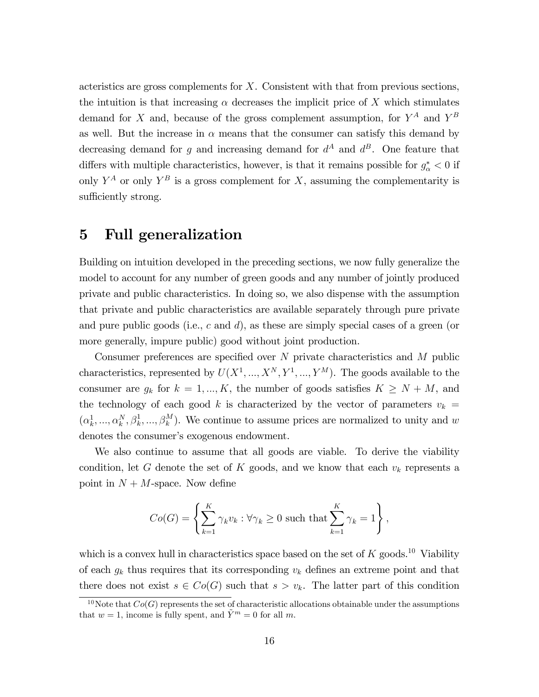acteristics are gross complements for X. Consistent with that from previous sections, the intuition is that increasing  $\alpha$  decreases the implicit price of X which stimulates demand for X and, because of the gross complement assumption, for  $Y^A$  and  $Y^B$ as well. But the increase in  $\alpha$  means that the consumer can satisfy this demand by decreasing demand for g and increasing demand for  $d^A$  and  $d^B$ . One feature that differs with multiple characteristics, however, is that it remains possible for  $g^*_{\alpha} < 0$  if only  $Y^A$  or only  $Y^B$  is a gross complement for X, assuming the complementarity is sufficiently strong.

#### 5 Full generalization

Building on intuition developed in the preceding sections, we now fully generalize the model to account for any number of green goods and any number of jointly produced private and public characteristics. In doing so, we also dispense with the assumption that private and public characteristics are available separately through pure private and pure public goods (i.e., c and d), as these are simply special cases of a green (or more generally, impure public) good without joint production.

Consumer preferences are specified over  $N$  private characteristics and  $M$  public characteristics, represented by  $U(X^1, ..., X^N, Y^1, ..., Y^M)$ . The goods available to the consumer are  $g_k$  for  $k = 1, ..., K$ , the number of goods satisfies  $K \ge N + M$ , and the technology of each good k is characterized by the vector of parameters  $v_k =$  $(\alpha_k^1, ..., \alpha_k^N, \beta_k^1, ..., \beta_k^M)$ . We continue to assume prices are normalized to unity and w denotes the consumer's exogenous endowment.

We also continue to assume that all goods are viable. To derive the viability condition, let G denote the set of K goods, and we know that each  $v_k$  represents a point in  $N + M$ -space. Now define

$$
Co(G) = \left\{ \sum_{k=1}^{K} \gamma_k v_k : \forall \gamma_k \ge 0 \text{ such that } \sum_{k=1}^{K} \gamma_k = 1 \right\},\
$$

which is a convex hull in characteristics space based on the set of  $K$  goods.<sup>10</sup> Viability of each  $g_k$  thus requires that its corresponding  $v_k$  defines an extreme point and that there does not exist  $s \in Co(G)$  such that  $s > v_k$ . The latter part of this condition

<sup>&</sup>lt;sup>10</sup>Note that  $Co(G)$  represents the set of characteristic allocations obtainable under the assumptions that  $w = 1$ , income is fully spent, and  $\tilde{Y}^m = 0$  for all m.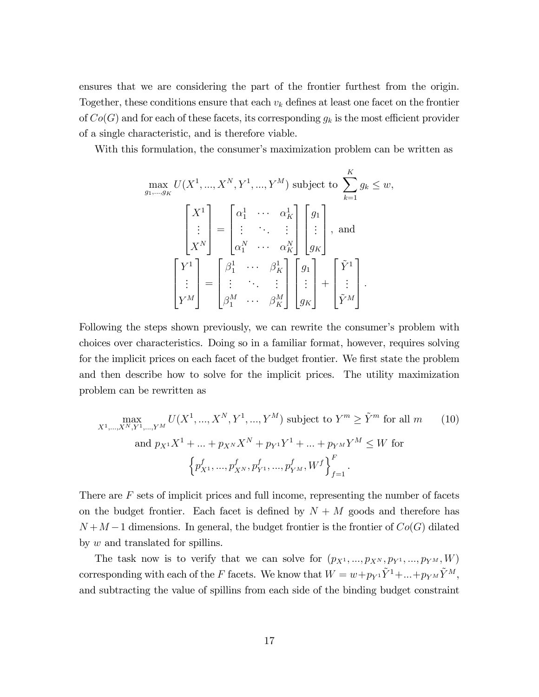ensures that we are considering the part of the frontier furthest from the origin. Together, these conditions ensure that each  $v_k$  defines at least one facet on the frontier of  $Co(G)$  and for each of these facets, its corresponding  $g_k$  is the most efficient provider of a single characteristic, and is therefore viable.

With this formulation, the consumer's maximization problem can be written as

$$
\max_{g_1,\dots,g_K} U(X^1,\dots,X^N,Y^1,\dots,Y^M) \text{ subject to } \sum_{k=1}^K g_k \leq w,
$$
\n
$$
\begin{bmatrix} X^1 \\ \vdots \\ X^N \end{bmatrix} = \begin{bmatrix} \alpha_1^1 & \cdots & \alpha_K^1 \\ \vdots & \ddots & \vdots \\ \alpha_1^N & \cdots & \alpha_K^N \end{bmatrix} \begin{bmatrix} g_1 \\ \vdots \\ g_K \end{bmatrix}, \text{ and}
$$
\n
$$
\begin{bmatrix} Y^1 \\ \vdots \\ Y^M \end{bmatrix} = \begin{bmatrix} \beta_1^1 & \cdots & \beta_K^1 \\ \vdots & \ddots & \vdots \\ \beta_1^M & \cdots & \beta_K^M \end{bmatrix} \begin{bmatrix} g_1 \\ \vdots \\ g_K \end{bmatrix} + \begin{bmatrix} \tilde{Y}^1 \\ \vdots \\ \tilde{Y}^M \end{bmatrix}.
$$

Following the steps shown previously, we can rewrite the consumer's problem with choices over characteristics. Doing so in a familiar format, however, requires solving for the implicit prices on each facet of the budget frontier. We first state the problem and then describe how to solve for the implicit prices. The utility maximization problem can be rewritten as

$$
\max_{X^1,\dots,X^N,Y^1,\dots,Y^M} U(X^1,\dots,X^N,Y^1,\dots,Y^M) \text{ subject to } Y^m \ge \tilde{Y}^m \text{ for all } m \qquad (10)
$$
  
and  $p_{X^1}X^1 + \dots + p_{X^N}X^N + p_{Y^1}Y^1 + \dots + p_{Y^M}Y^M \le W \text{ for }$   

$$
\left\{ p_{X^1}^f, \dots, p_{X^N}^f, p_{Y^1}^f, \dots, p_{Y^M}^f, W^f \right\}_{f=1}^F.
$$

There are F sets of implicit prices and full income, representing the number of facets on the budget frontier. Each facet is defined by  $N + M$  goods and therefore has  $N + M - 1$  dimensions. In general, the budget frontier is the frontier of  $Co(G)$  dilated by w and translated for spillins.

The task now is to verify that we can solve for  $(p_{X^1},...,p_{X^N},p_{Y^1},...,p_{Y^M},W)$ corresponding with each of the F facets. We know that  $W = w + p_{Y^1}\tilde{Y}^1 + \dots + p_{Y^M}\tilde{Y}^M$ , and subtracting the value of spillins from each side of the binding budget constraint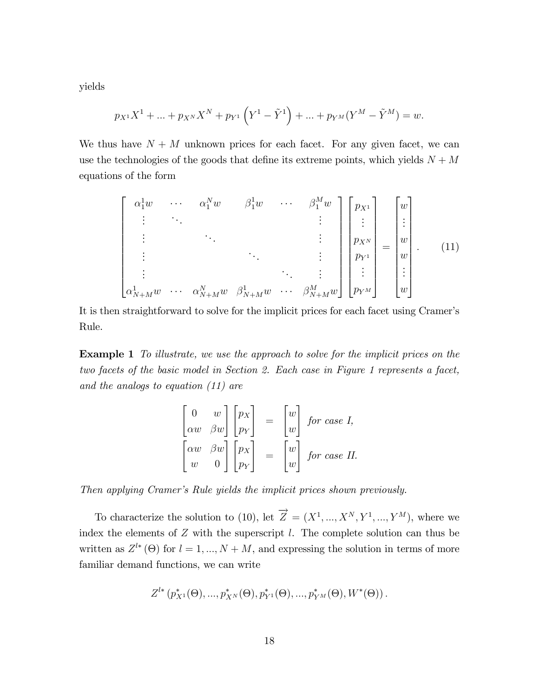yields

$$
p_{X^1}X^1 + \dots + p_{X^N}X^N + p_{Y^1}\left(Y^1 - \tilde{Y}^1\right) + \dots + p_{Y^M}(Y^M - \tilde{Y}^M) = w.
$$

We thus have  $N + M$  unknown prices for each facet. For any given facet, we can use the technologies of the goods that define its extreme points, which yields  $N + M$ equations of the form

$$
\begin{bmatrix}\n\alpha_1^1 w & \cdots & \alpha_1^N w & \beta_1^1 w & \cdots & \beta_1^M w \\
\vdots & \ddots & \vdots & \vdots & \vdots \\
\vdots & \ddots & \ddots & \vdots \\
\vdots & \ddots & \ddots & \vdots \\
\alpha_{N+M}^1 w & \cdots & \alpha_{N+M}^N w & \beta_{N+M}^1 w & \cdots & \beta_{N+M}^M w\n\end{bmatrix}\n\begin{bmatrix}\np_{X^1} \\
\vdots \\
p_{X^N} \\
\vdots \\
p_{Y^M}\n\end{bmatrix}\n=\n\begin{bmatrix}\nw \\
\vdots \\
w \\
\vdots \\
w\n\end{bmatrix}.
$$
\n(11)

It is then straightforward to solve for the implicit prices for each facet using Cramerís Rule.

**Example 1** To illustrate, we use the approach to solve for the implicit prices on the two facets of the basic model in Section 2. Each case in Figure 1 represents a facet, and the analogs to equation (11) are

$$
\begin{bmatrix}\n0 & w \\
\alpha w & \beta w\n\end{bmatrix}\n\begin{bmatrix}\np_X \\
p_Y\n\end{bmatrix} =\n\begin{bmatrix}\nw \\
w\n\end{bmatrix}\n\quad for case I,\n\\
\begin{bmatrix}\n\alpha w & \beta w \\
w & 0\n\end{bmatrix}\n\begin{bmatrix}\np_X \\
p_Y\n\end{bmatrix} =\n\begin{bmatrix}\nw \\
w\n\end{bmatrix}\n\quad for case II.
$$

Then applying Cramer's Rule yields the implicit prices shown previously.

To characterize the solution to (10), let  $\overrightarrow{Z} = (X^1, ..., X^N, Y^1, ..., Y^M)$ , where we index the elements of  $Z$  with the superscript  $l$ . The complete solution can thus be written as  $Z^{l*}(\Theta)$  for  $l=1,...,N+M$ , and expressing the solution in terms of more familiar demand functions, we can write

$$
Z^{l*} (p_{X^1}^*(\Theta),...,p_{X^N}^*(\Theta),p_{Y^1}^*(\Theta),...,p_{Y^M}^*(\Theta),W^*(\Theta)).
$$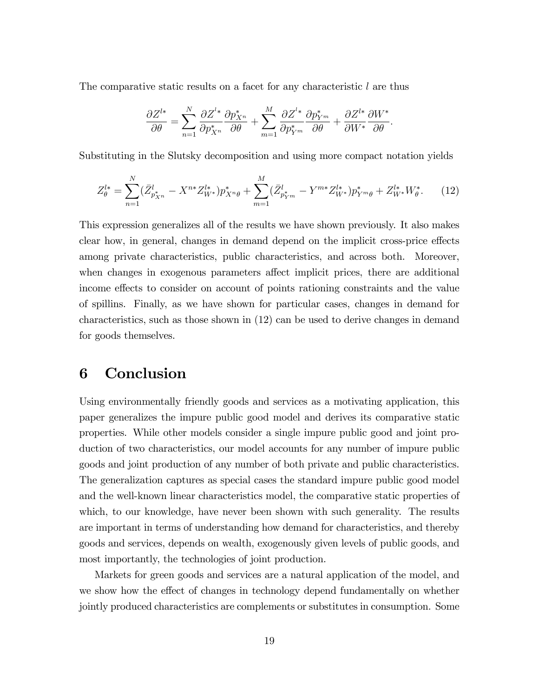The comparative static results on a facet for any characteristic l are thus

$$
\frac{\partial Z^{l*}}{\partial \theta} = \sum_{n=1}^{N} \frac{\partial Z^{l*}}{\partial p_{X^n}^*} \frac{\partial p_{X^n}^*}{\partial \theta} + \sum_{m=1}^{M} \frac{\partial Z^{l*}}{\partial p_{Y^m}^*} \frac{\partial p_{Y^m}^*}{\partial \theta} + \frac{\partial Z^{l*}}{\partial W^*} \frac{\partial W^*}{\partial \theta}.
$$

Substituting in the Slutsky decomposition and using more compact notation yields

$$
Z_{\theta}^{l*} = \sum_{n=1}^{N} (\bar{Z}_{p_{X^n}}^l - X^{n*} Z_{W^*}^{l*}) p_{X^n \theta}^* + \sum_{m=1}^{M} (\bar{Z}_{p_{Y^m}^*}^l - Y^{m*} Z_{W^*}^{l*}) p_{Y^m \theta}^* + Z_{W^*}^{l*} W_{\theta}^*.
$$
 (12)

This expression generalizes all of the results we have shown previously. It also makes clear how, in general, changes in demand depend on the implicit cross-price effects among private characteristics, public characteristics, and across both. Moreover, when changes in exogenous parameters affect implicit prices, there are additional income effects to consider on account of points rationing constraints and the value of spillins. Finally, as we have shown for particular cases, changes in demand for characteristics, such as those shown in (12) can be used to derive changes in demand for goods themselves.

## 6 Conclusion

Using environmentally friendly goods and services as a motivating application, this paper generalizes the impure public good model and derives its comparative static properties. While other models consider a single impure public good and joint production of two characteristics, our model accounts for any number of impure public goods and joint production of any number of both private and public characteristics. The generalization captures as special cases the standard impure public good model and the well-known linear characteristics model, the comparative static properties of which, to our knowledge, have never been shown with such generality. The results are important in terms of understanding how demand for characteristics, and thereby goods and services, depends on wealth, exogenously given levels of public goods, and most importantly, the technologies of joint production.

Markets for green goods and services are a natural application of the model, and we show how the effect of changes in technology depend fundamentally on whether jointly produced characteristics are complements or substitutes in consumption. Some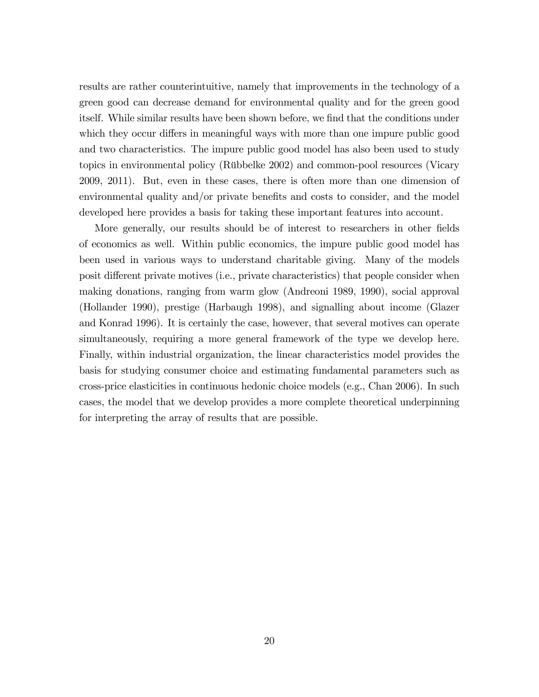results are rather counterintuitive, namely that improvements in the technology of a green good can decrease demand for environmental quality and for the green good itself. While similar results have been shown before, we find that the conditions under which they occur differs in meaningful ways with more than one impure public good and two characteristics. The impure public good model has also been used to study topics in environmental policy (Rübbelke 2002) and common-pool resources (Vicary 2009, 2011). But, even in these cases, there is often more than one dimension of environmental quality and/or private benefits and costs to consider, and the model developed here provides a basis for taking these important features into account.

More generally, our results should be of interest to researchers in other fields of economics as well. Within public economics, the impure public good model has been used in various ways to understand charitable giving. Many of the models posit different private motives (i.e., private characteristics) that people consider when making donations, ranging from warm glow (Andreoni 1989, 1990), social approval (Hollander 1990), prestige (Harbaugh 1998), and signalling about income (Glazer and Konrad 1996). It is certainly the case, however, that several motives can operate simultaneously, requiring a more general framework of the type we develop here. Finally, within industrial organization, the linear characteristics model provides the basis for studying consumer choice and estimating fundamental parameters such as cross-price elasticities in continuous hedonic choice models (e.g., Chan 2006). In such cases, the model that we develop provides a more complete theoretical underpinning for interpreting the array of results that are possible.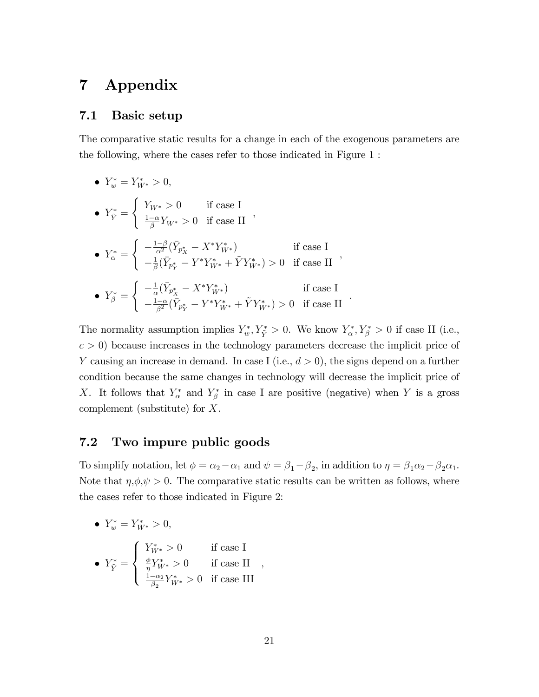# 7 Appendix

#### 7.1 Basic setup

The comparative static results for a change in each of the exogenous parameters are the following, where the cases refer to those indicated in Figure 1 :

• 
$$
Y_w^* = Y_{W^*}^* > 0
$$
,  
\n•  $Y_{\tilde{Y}}^* = \begin{cases} Y_{W^*} > 0 & \text{if case I} \\ \frac{1-\alpha}{\beta} Y_{W^*} > 0 & \text{if case II} \end{cases}$ ,  
\n•  $Y_{\alpha}^* = \begin{cases} -\frac{1-\beta}{\alpha^2} (\bar{Y}_{p_X^*} - X^* Y_{W^*}^*) & \text{if case I} \\ -\frac{1}{\beta} (\bar{Y}_{p_Y^*} - Y^* Y_{W^*}^* + \tilde{Y} Y_{W^*}^*) > 0 & \text{if case II} \end{cases}$ ,  
\n•  $Y_{\beta}^* = \begin{cases} -\frac{1}{\alpha} (\bar{Y}_{p_X^*} - X^* Y_{W^*}^*) & \text{if case I} \\ -\frac{1-\alpha}{\beta^2} (\bar{Y}_{p_Y^*} - Y^* Y_{W^*}^* + \tilde{Y} Y_{W^*}^*) > 0 & \text{if case II} \end{cases}$ 

The normality assumption implies  $Y^*_{w}, Y^*_{\tilde{Y}} > 0$ . We know  $Y^*_{\alpha}, Y^*_{\beta} > 0$  if case II (i.e.,  $c > 0$ ) because increases in the technology parameters decrease the implicit price of Y causing an increase in demand. In case I (i.e.,  $d > 0$ ), the signs depend on a further condition because the same changes in technology will decrease the implicit price of X. It follows that  $Y^*_{\alpha}$  and  $Y^*_{\beta}$  in case I are positive (negative) when Y is a gross complement (substitute) for X.

:

#### 7.2 Two impure public goods

To simplify notation, let  $\phi = \alpha_2 - \alpha_1$  and  $\psi = \beta_1 - \beta_2$ , in addition to  $\eta = \beta_1 \alpha_2 - \beta_2 \alpha_1$ . Note that  $\eta, \phi, \psi > 0$ . The comparative static results can be written as follows, where the cases refer to those indicated in Figure 2:

• 
$$
Y_w^* = Y_{W^*}^* > 0
$$
,

$$
\bullet \ \ Y^*_{\tilde Y} = \left\{ \begin{array}{ll} Y^*_{W^*} > 0 & \text{if case I} \\ \frac{\phi}{\eta} Y^*_{W^*} > 0 & \text{if case II} \\ \frac{1-\alpha_2}{\beta_2} Y^*_{W^*} > 0 & \text{if case III} \end{array} \right. ,
$$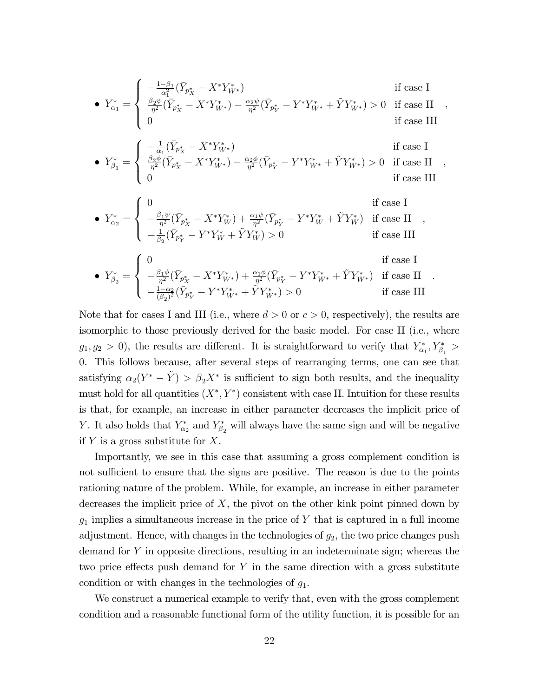• 
$$
Y_{\alpha_1}^* = \begin{cases} -\frac{1-\beta_1}{\alpha_1^2} (\bar{Y}_{p_X^*} - X^* Y_{W^*}^*) & \text{if case I} \\ \frac{\beta_2 \psi}{\eta^2} (\bar{Y}_{p_X^*} - X^* Y_{W^*}^*) - \frac{\alpha_2 \psi}{\eta^2} (\bar{Y}_{p_Y^*} - Y^* Y_{W^*}^* + \tilde{Y} Y_{W^*}^*) > 0 & \text{if case II} \\ 0 & \text{if case III} \end{cases}
$$
  
\n• 
$$
Y_{\beta_1}^* = \begin{cases} -\frac{1}{\alpha_1} (\bar{Y}_{p_X^*} - X^* Y_{W^*}^*) & \text{if case I} \\ \frac{\beta_2 \phi}{\eta^2} (\bar{Y}_{p_X^*} - X^* Y_{W^*}^*) - \frac{\alpha_2 \phi}{\eta^2} (\bar{Y}_{p_Y^*} - Y^* Y_{W^*}^* + \tilde{Y} Y_{W^*}^*) > 0 & \text{if case II} \\ 0 & \text{if case III} \end{cases}
$$
  
\n• 
$$
Y_{\alpha_2}^* = \begin{cases} 0 & \text{if case I} \\ -\frac{\beta_1 \psi}{\eta^2} (\bar{Y}_{p_X^*} - X^* Y_{W}^*) + \frac{\alpha_1 \psi}{\eta^2} (\bar{Y}_{p_Y^*} - Y^* Y_{W}^* + \tilde{Y} Y_{W}^*) & \text{if case II} \\ -\frac{1}{\beta_2} (\bar{Y}_{p_Y^*} - Y^* Y_{W}^* + \tilde{Y} Y_{W}^*) > 0 & \text{if case III} \end{cases}
$$

;

:

$$
\bullet \ \ Y^*_{\beta_2} = \left\{ \begin{array}{ll} 0 & \mbox{if case I} \\ -\frac{\beta_1 \phi}{\eta^2} (\bar{Y}_{p_X^*} - X^* Y^*_{W^*}) + \frac{\alpha_1 \phi}{\eta^2} (\bar{Y}_{p_Y^*} - Y^* Y^*_{W^*} + \tilde{Y} Y^*_{W^*}) & \mbox{if case II} \\ -\frac{1-\alpha_2}{(\beta_2)^2} (\bar{Y}_{p_Y^*} - Y^* Y^*_{W^*} + \tilde{Y} Y^*_{W^*}) > 0 & \mbox{if case III} \end{array} \right.
$$

Note that for cases I and III (i.e., where  $d > 0$  or  $c > 0$ , respectively), the results are isomorphic to those previously derived for the basic model. For case II (i.e., where  $g_1, g_2 > 0$ , the results are different. It is straightforward to verify that  $Y^*_{\alpha_1}, Y^*_{\beta_1} > 0$ 0. This follows because, after several steps of rearranging terms, one can see that satisfying  $\alpha_2(Y^* - \tilde{Y}) > \beta_2 X^*$  is sufficient to sign both results, and the inequality must hold for all quantities  $(X^*, Y^*)$  consistent with case II. Intuition for these results is that, for example, an increase in either parameter decreases the implicit price of Y. It also holds that  $Y_{\alpha_2}^*$  and  $Y_{\beta_2}^*$  will always have the same sign and will be negative if Y is a gross substitute for  $X$ .

Importantly, we see in this case that assuming a gross complement condition is not sufficient to ensure that the signs are positive. The reason is due to the points rationing nature of the problem. While, for example, an increase in either parameter decreases the implicit price of  $X$ , the pivot on the other kink point pinned down by  $g_1$  implies a simultaneous increase in the price of Y that is captured in a full income adjustment. Hence, with changes in the technologies of  $g_2$ , the two price changes push demand for Y in opposite directions, resulting in an indeterminate sign; whereas the two price effects push demand for  $Y$  in the same direction with a gross substitute condition or with changes in the technologies of  $g_1$ .

We construct a numerical example to verify that, even with the gross complement condition and a reasonable functional form of the utility function, it is possible for an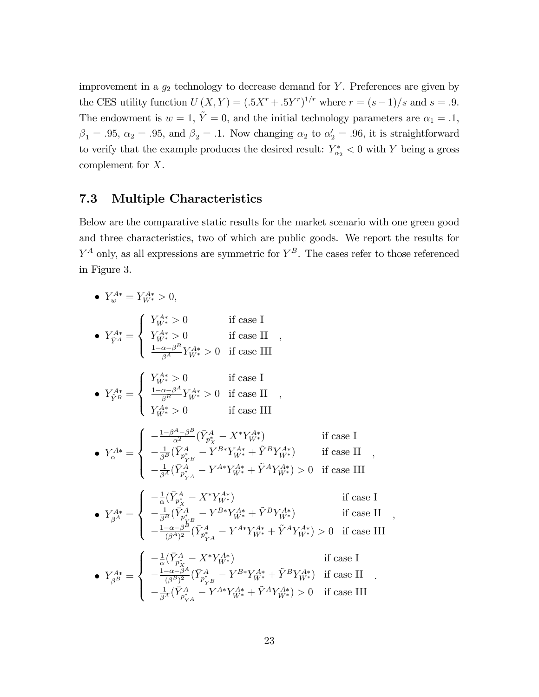improvement in a  $g_2$  technology to decrease demand for Y. Preferences are given by the CES utility function  $U(X,Y) = (.5X<sup>r</sup> + .5Y<sup>r</sup>)<sup>1/r</sup>$  where  $r = (s-1)/s$  and  $s = .9$ . The endowment is  $w = 1$ ,  $\tilde{Y} = 0$ , and the initial technology parameters are  $\alpha_1 = .1$ ,  $\beta_1 = .95$ ,  $\alpha_2 = .95$ , and  $\beta_2 = .1$ . Now changing  $\alpha_2$  to  $\alpha_2' = .96$ , it is straightforward to verify that the example produces the desired result:  $Y_{\alpha_2}^* < 0$  with Y being a gross complement for X.

#### 7.3 Multiple Characteristics

Below are the comparative static results for the market scenario with one green good and three characteristics, two of which are public goods. We report the results for  $Y^A$  only, as all expressions are symmetric for  $Y^B$ . The cases refer to those referenced in Figure 3.

• 
$$
Y_{w}^{A*} = Y_{W^{*}}^{A*} > 0,
$$
  
\n• 
$$
Y_{\tilde{Y}^{A}}^{A*} = \begin{cases} Y_{W^{*}}^{A*} > 0 & \text{if case I} \\ Y_{W^{*}}^{A*} > 0 & \text{if case II} \\ \frac{1-\alpha-\beta^{B}}{\beta^{A}}Y_{W^{*}}^{A*} > 0 & \text{if case III} \end{cases}
$$
  
\n• 
$$
Y_{\tilde{Y}^{B}}^{A*} = \begin{cases} Y_{W^{*}}^{A*} > 0 & \text{if case I} \\ \frac{1-\alpha-\beta^{A}}{\beta^{B}}Y_{W^{*}}^{A*} > 0 & \text{if case II} \\ Y_{W^{*}}^{A*} > 0 & \text{if case III} \end{cases}
$$
  
\n• 
$$
Y_{\alpha}^{A*} = \begin{cases} -\frac{1-\beta^{A}-\beta^{B}}{\alpha^{2}}(\bar{Y}_{p_{X}}^{A} - X^{*}Y_{W^{*}}^{A*}) & \text{if case I} \\ -\frac{1}{\beta^{B}}(\bar{Y}_{p_{Y}^{*}}^{A} - Y^{B*}Y_{W^{*}}^{A*} + \tilde{Y}^{B}Y_{W^{*}}^{A*}) & \text{if case III} \\ -\frac{1}{\beta^{A}}(\bar{Y}_{p_{Y}^{*}}^{A} - Y^{A*}Y_{W^{*}}^{A*} + \tilde{Y}^{A}Y_{W^{*}}^{A*}) > 0 & \text{if case III} \end{cases}
$$
  
\n• 
$$
Y_{\beta^{A}}^{A*} = \begin{cases} -\frac{1}{\alpha}(\bar{Y}_{p_{X}}^{A} - X^{*}Y_{W^{*}}^{A*}) & \text{if case I} \\ -\frac{1}{\beta^{B}}(\bar{Y}_{p_{Y}^{*}}^{A} - Y^{B*}Y_{W^{*}}^{A*} + \tilde{Y}^{B}Y_{W^{*}}^{A*}) & \text{if case II} \\ -\frac{1-\alpha-\beta^{B}}{(\beta^{A})^{2}}(\bar{Y}_{p_{Y}^{*}}^{A} - Y^{A*}Y_{W^{*}}^{A*} + \tilde{Y}^{A}Y_{W^{*}}^{A*}) > 0 & \text{if case III} \end{cases}
$$
  
\n• 
$$
Y_{\beta^{B}}^{A*} = \begin{cases} -\frac
$$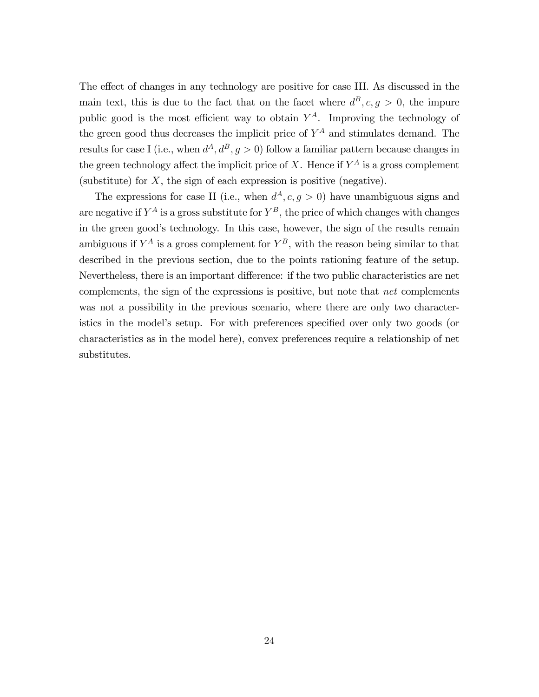The effect of changes in any technology are positive for case III. As discussed in the main text, this is due to the fact that on the facet where  $d^B, c, g > 0$ , the impure public good is the most efficient way to obtain  $Y^A$ . Improving the technology of the green good thus decreases the implicit price of  $Y^A$  and stimulates demand. The results for case I (i.e., when  $d^A$ ,  $d^B$ ,  $g > 0$ ) follow a familiar pattern because changes in the green technology affect the implicit price of X. Hence if  $Y^A$  is a gross complement (substitute) for  $X$ , the sign of each expression is positive (negative).

The expressions for case II (i.e., when  $d^A$ ,  $c, g > 0$ ) have unambiguous signs and are negative if  $Y^A$  is a gross substitute for  $Y^B$ , the price of which changes with changes in the green good's technology. In this case, however, the sign of the results remain ambiguous if  $Y^A$  is a gross complement for  $Y^B$ , with the reason being similar to that described in the previous section, due to the points rationing feature of the setup. Nevertheless, there is an important difference: if the two public characteristics are net complements, the sign of the expressions is positive, but note that net complements was not a possibility in the previous scenario, where there are only two characteristics in the model's setup. For with preferences specified over only two goods (or characteristics as in the model here), convex preferences require a relationship of net substitutes.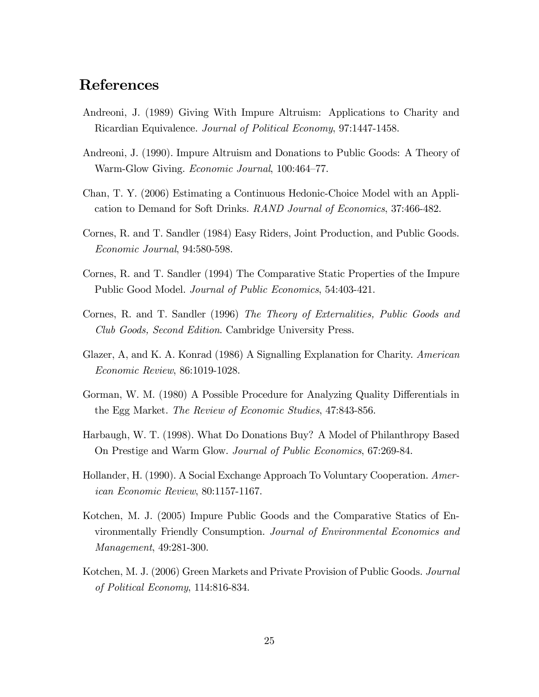# References

- Andreoni, J. (1989) Giving With Impure Altruism: Applications to Charity and Ricardian Equivalence. Journal of Political Economy, 97:1447-1458.
- Andreoni, J. (1990). Impure Altruism and Donations to Public Goods: A Theory of Warm-Glow Giving. *Economic Journal*, 100:464-77.
- Chan, T. Y. (2006) Estimating a Continuous Hedonic-Choice Model with an Application to Demand for Soft Drinks. RAND Journal of Economics, 37:466-482.
- Cornes, R. and T. Sandler (1984) Easy Riders, Joint Production, and Public Goods. Economic Journal, 94:580-598.
- Cornes, R. and T. Sandler (1994) The Comparative Static Properties of the Impure Public Good Model. Journal of Public Economics, 54:403-421.
- Cornes, R. and T. Sandler (1996) The Theory of Externalities, Public Goods and Club Goods, Second Edition. Cambridge University Press.
- Glazer, A, and K. A. Konrad (1986) A Signalling Explanation for Charity. American Economic Review, 86:1019-1028.
- Gorman, W. M. (1980) A Possible Procedure for Analyzing Quality Differentials in the Egg Market. The Review of Economic Studies, 47:843-856.
- Harbaugh, W. T. (1998). What Do Donations Buy? A Model of Philanthropy Based On Prestige and Warm Glow. Journal of Public Economics, 67:269-84.
- Hollander, H. (1990). A Social Exchange Approach To Voluntary Cooperation. American Economic Review, 80:1157-1167.
- Kotchen, M. J. (2005) Impure Public Goods and the Comparative Statics of Environmentally Friendly Consumption. Journal of Environmental Economics and Management, 49:281-300.
- Kotchen, M. J. (2006) Green Markets and Private Provision of Public Goods. Journal of Political Economy, 114:816-834.